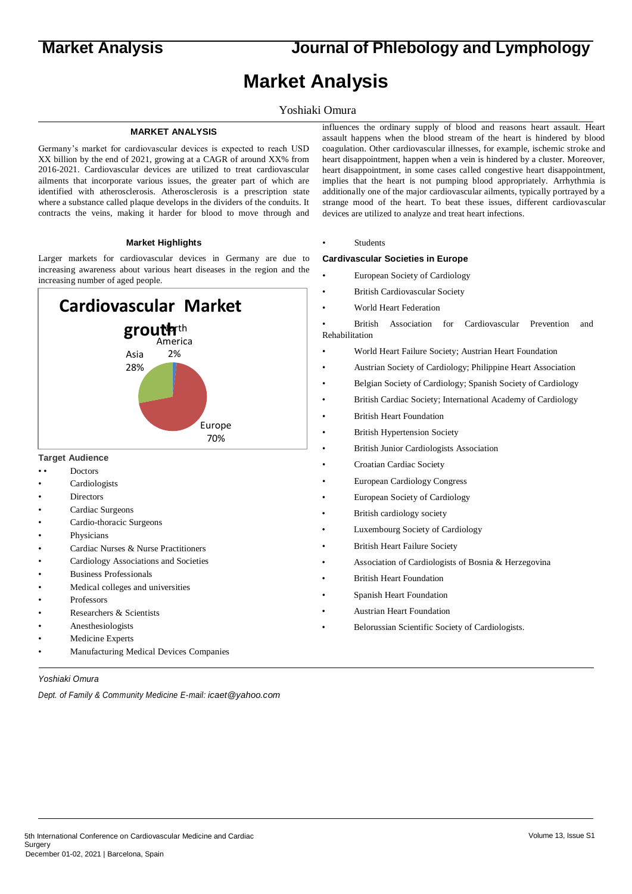**Market Analysis Journal of Phlebology and Lymphology**

# **Market Analysis**

# Yoshiaki Omura

# **MARKET ANALYSIS**

Germany's market for cardiovascular devices is expected to reach USD XX billion by the end of 2021, growing at a CAGR of around XX% from 2016-2021. Cardiovascular devices are utilized to treat cardiovascular ailments that incorporate various issues, the greater part of which are identified with atherosclerosis. Atherosclerosis is a prescription state where a substance called plaque develops in the dividers of the conduits. It contracts the veins, making it harder for blood to move through and

### **Market Highlights**

Larger markets for cardiovascular devices in Germany are due to increasing awareness about various heart diseases in the region and the increasing number of aged people.



# **Target Audience**

- Doctors
- **Cardiologists**
- **Directors**
- Cardiac Surgeons
- Cardio-thoracic Surgeons
- **Physicians**
- Cardiac Nurses & Nurse Practitioners
- Cardiology Associations and Societies
- Business Professionals
- Medical colleges and universities
- Professors
- Researchers & Scientists
- Anesthesiologists
- Medicine Experts
- Manufacturing Medical Devices Companies

*Yoshiaki Omura*

*Dept. of Family & Community Medicine E-mail: icaet@yahoo.com*

influences the ordinary supply of blood and reasons heart assault. Heart assault happens when the blood stream of the heart is hindered by blood coagulation. Other cardiovascular illnesses, for example, ischemic stroke and heart disappointment, happen when a vein is hindered by a cluster. Moreover, heart disappointment, in some cases called congestive heart disappointment, implies that the heart is not pumping blood appropriately. Arrhythmia is additionally one of the major cardiovascular ailments, typically portrayed by a strange mood of the heart. To beat these issues, different cardiovascular devices are utilized to analyze and treat heart infections.

• Students

#### **Cardivascular Societies in Europe**

- European Society of Cardiology
- British Cardiovascular Society
- World Heart Federation

• British Association for Cardiovascular Prevention and Rehabilitation

- World Heart Failure Society; Austrian Heart Foundation
- Austrian Society of Cardiology; Philippine Heart Association
- Belgian Society of Cardiology; Spanish Society of Cardiology
- British Cardiac Society; International Academy of Cardiology
- British Heart Foundation
- **British Hypertension Society**
- British Junior Cardiologists Association
- Croatian Cardiac Society
- European Cardiology Congress
- European Society of Cardiology
- British cardiology society
- Luxembourg Society of Cardiology
- British Heart Failure Society
- Association of Cardiologists of Bosnia & Herzegovina
- British Heart Foundation
- Spanish Heart Foundation
- Austrian Heart Foundation
- Belorussian Scientific Society of Cardiologists.